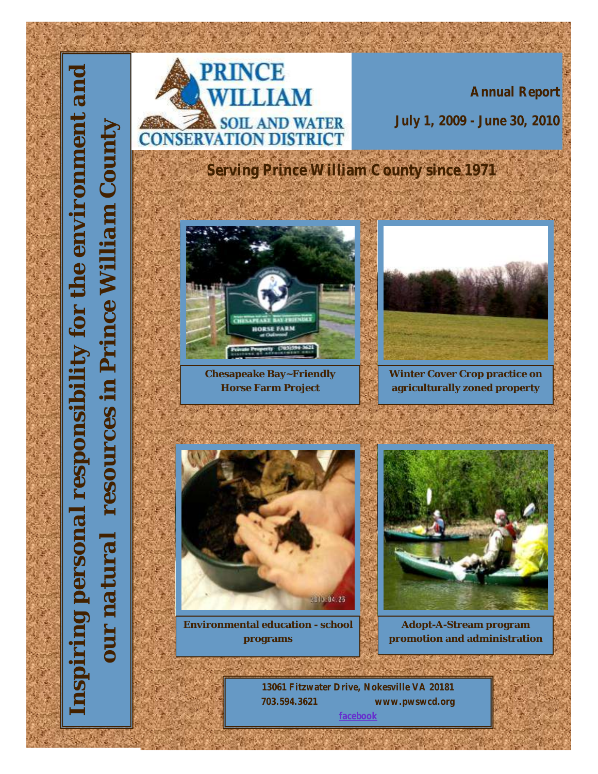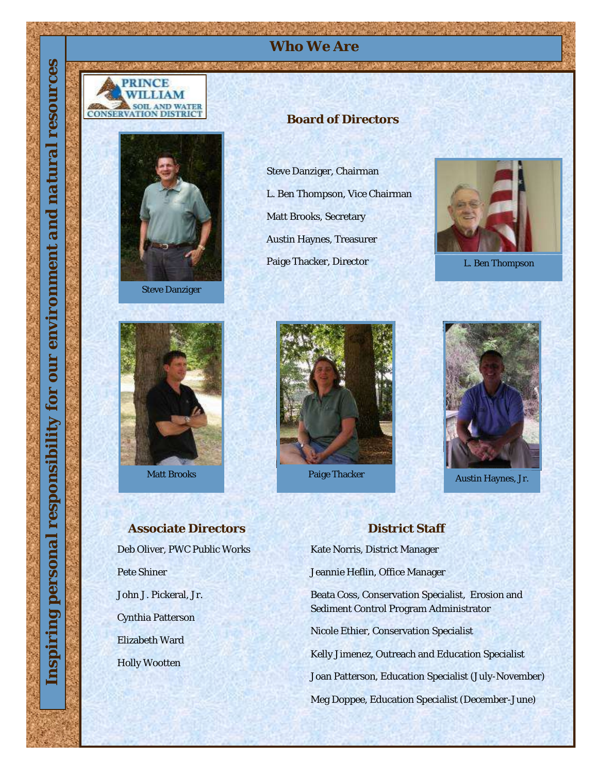



Steve Danziger



*Inspiring personal responsibility for our environment and natural resources*

for

responsibil

personal

ping

nspi

our environment and

resources

natural

Matt Brooks

Deb Oliver, PWC Public Works Pete Shiner John J. Pickeral, Jr. Cynthia Patterson Elizabeth Ward Holly Wootten **Associate Directors**

#### **Board of Directors**

**Who We Are**

Steve Danziger, Chairman L. Ben Thompson, Vice Chairman Matt Brooks, Secretary Austin Haynes, Treasurer Paige Thacker, Director



L. Ben Thompson





## **District Staff** Kate Norris, District Manager Jeannie Heflin, Office Manager Beata Coss, Conservation Specialist, Erosion and Sediment Control Program Administrator Nicole Ethier, Conservation Specialist Kelly Jimenez, Outreach and Education Specialist Joan Patterson, Education Specialist (July-November) Meg Doppee, Education Specialist (December-June)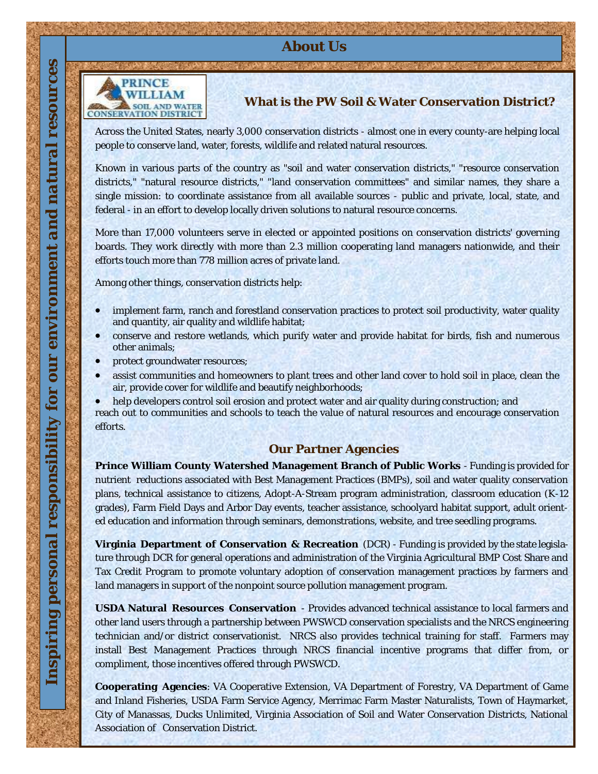#### **About Us**



#### **What is the PW Soil & Water Conservation District?**

Across the United States, nearly 3,000 conservation districts - almost one in every county-are helping local people to conserve land, water, forests, wildlife and related natural resources.

Known in various parts of the country as "soil and water conservation districts," "resource conservation districts," "natural resource districts," "land conservation committees" and similar names, they share a single mission: to coordinate assistance from all available sources - public and private, local, state, and federal - in an effort to develop locally driven solutions to natural resource concerns.

More than 17,000 volunteers serve in elected or appointed positions on conservation districts' governing boards. They work directly with more than 2.3 million cooperating land managers nationwide, and their efforts touch more than 778 million acres of private land.

Among other things, conservation districts help:

- implement farm, ranch and forestland conservation practices to protect soil productivity, water quality and quantity, air quality and wildlife habitat;
- conserve and restore wetlands, which purify water and provide habitat for birds, fish and numerous other animals;
- protect groundwater resources;
- assist communities and homeowners to plant trees and other land cover to hold soil in place, clean the air, provide cover for wildlife and beautify neighborhoods;

 help developers control soil erosion and protect water and air quality during construction; and reach out to communities and schools to teach the value of natural resources and encourage conservation efforts.

#### **Our Partner Agencies**

**Prince William County Watershed Management Branch of Public Works** - Funding is provided for nutrient reductions associated with Best Management Practices (BMPs), soil and water quality conservation plans, technical assistance to citizens, Adopt-A-Stream program administration, classroom education (K-12 grades), Farm Field Days and Arbor Day events, teacher assistance, schoolyard habitat support, adult oriented education and information through seminars, demonstrations, website, and tree seedling programs.

**Virginia Department of Conservation & Recreation** (DCR) - Funding is provided by the state legislature through DCR for general operations and administration of the Virginia Agricultural BMP Cost Share and Tax Credit Program to promote voluntary adoption of conservation management practices by farmers and land managers in support of the nonpoint source pollution management program.

**USDA Natural Resources Conservation** - Provides advanced technical assistance to local farmers and other land users through a partnership between PWSWCD conservation specialists and the NRCS engineering technician and/or district conservationist. NRCS also provides technical training for staff. Farmers may install Best Management Practices through NRCS financial incentive programs that differ from, or compliment, those incentives offered through PWSWCD.

**Cooperating Agencies**: VA Cooperative Extension, VA Department of Forestry, VA Department of Game and Inland Fisheries, USDA Farm Service Agency, Merrimac Farm Master Naturalists, Town of Haymarket, City of Manassas, Ducks Unlimited, Virginia Association of Soil and Water Conservation Districts, National Association of Conservation District.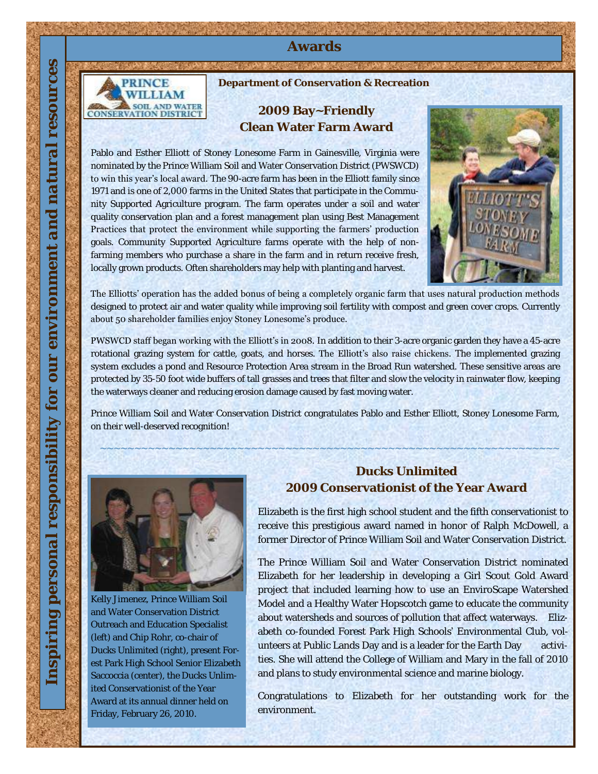#### **Awards**



**Department of Conservation & Recreation** 

#### **2009 Bay~Friendly Clean Water Farm Award**

Pablo and Esther Elliott of Stoney Lonesome Farm in Gainesville, Virginia were nominated by the Prince William Soil and Water Conservation District (PWSWCD) to win this year's local award. The 90-acre farm has been in the Elliott family since 1971 and is one of 2,000 farms in the United States that participate in the Community Supported Agriculture program. The farm operates under a soil and water quality conservation plan and a forest management plan using Best Management Practices that protect the environment while supporting the farmers' production goals. Community Supported Agriculture farms operate with the help of nonfarming members who purchase a share in the farm and in return receive fresh, locally grown products. Often shareholders may help with planting and harvest.



The Elliotts' operation has the added bonus of being a completely organic farm that uses natural production methods designed to protect air and water quality while improving soil fertility with compost and green cover crops. Currently about 50 shareholder families enjoy Stoney Lonesome's produce.

PWSWCD staff began working with the Elliott's in 2008. In addition to their 3-acre organic garden they have a 45-acre rotational grazing system for cattle, goats, and horses. The Elliott's also raise chickens. The implemented grazing system excludes a pond and Resource Protection Area stream in the Broad Run watershed. These sensitive areas are protected by 35-50 foot wide buffers of tall grasses and trees that filter and slow the velocity in rainwater flow, keeping the waterways cleaner and reducing erosion damage caused by fast moving water.

Prince William Soil and Water Conservation District congratulates Pablo and Esther Elliott, Stoney Lonesome Farm, on their well-deserved recognition!

**~~~~~~~~~~~~~~~~~~~~~~~~~~~~~~~~~~~~~~~~~~~~~~~~~~~~~~~~~~~~~~~~~~~**



Kelly Jimenez, Prince William Soil and Water Conservation District Outreach and Education Specialist (left) and Chip Rohr, co-chair of Ducks Unlimited (right), present Forest Park High School Senior Elizabeth Saccoccia (center), the Ducks Unlimited Conservationist of the Year Award at its annual dinner held on Friday, February 26, 2010.

#### **Ducks Unlimited 2009 Conservationist of the Year Award**

Elizabeth is the first high school student and the fifth conservationist to receive this prestigious award named in honor of Ralph McDowell, a former Director of Prince William Soil and Water Conservation District.

The Prince William Soil and Water Conservation District nominated Elizabeth for her leadership in developing a Girl Scout Gold Award project that included learning how to use an EnviroScape Watershed Model and a Healthy Water Hopscotch game to educate the community about watersheds and sources of pollution that affect waterways. Elizabeth co-founded Forest Park High Schools' Environmental Club, volunteers at Public Lands Day and is a leader for the Earth Day activities. She will attend the College of William and Mary in the fall of 2010 and plans to study environmental science and marine biology.

Congratulations to Elizabeth for her outstanding work for the environment.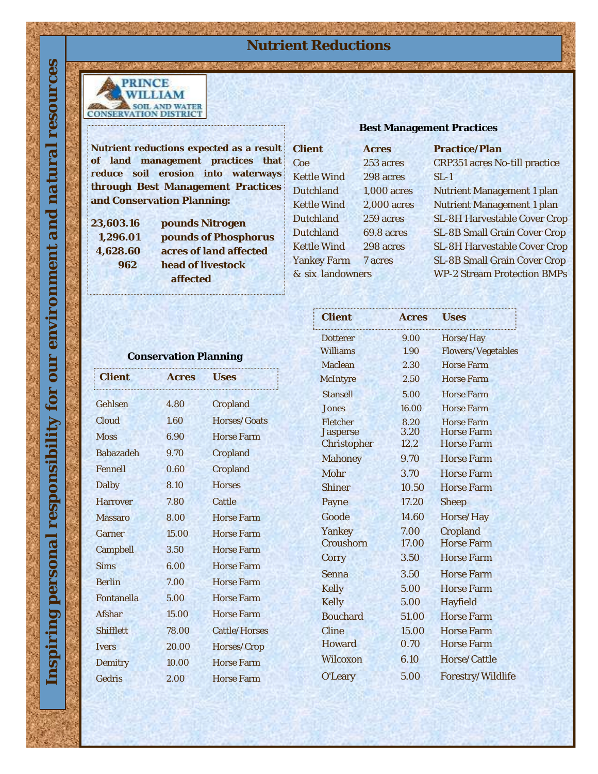## **Nutrient Reductions**



**Nutrient reductions expected as a result of land management practices that reduce soil erosion into waterways through Best Management Practices and Conservation Planning:**

*Inspiring personal responsibility for our environment and natural resources*

OUL

for

responsibility

personal

nspiring

resources

natural

environment and

**23,603.16 pounds Nitrogen 1,296.01 pounds of Phosphorus 4,628.60 acres of land affected 962 head of livestock affected**

#### **Best Management Practices**

| Client             | Acres       | Practice/Plan                      |
|--------------------|-------------|------------------------------------|
| Coe                | 253 acres   | CRP351 acres No-till practice      |
| <b>Kettle Wind</b> | 298 acres   | $SL-1$                             |
| Dutchland          | 1,000 acres | Nutrient Management 1 plan         |
| Kettle Wind        | 2,000 acres | Nutrient Management 1 plan         |
| Dutchland          | 259 acres   | SL-8H Harvestable Cover Crop       |
| Dutchland          | 69.8 acres  | SL-8B Small Grain Cover Crop       |
| <b>Kettle Wind</b> | 298 acres   | SL-8H Harvestable Cover Crop       |
| Yankey Farm        | 7 acres     | SL-8B Small Grain Cover Crop       |
| & six landowners   |             | <b>WP-2 Stream Protection BMPs</b> |
|                    |             |                                    |

#### **Conservation Planning**

| Client           | Acres | <b>Uses</b>       |
|------------------|-------|-------------------|
| Gehlsen          | 4.80  | Cropland          |
| Cloud            | 1.60  | Horses/Goats      |
| <b>Moss</b>      | 6.90  | Horse Farm        |
| <b>Babazadeh</b> | 9.70  | Cropland          |
| Fennell          | 0.60  | Cropland          |
| Dalby            | 8.10  | Horses            |
| <b>Harrover</b>  | 7.80  | Cattle            |
| Massaro          | 8.00  | Horse Farm        |
| Garner           | 15.00 | Horse Farm        |
| Campbell         | 3.50  | <b>Horse Farm</b> |
| <b>Sims</b>      | 6.00  | Horse Farm        |
| <b>Berlin</b>    | 7.00  | Horse Farm        |
| Fontanella       | 5.00  | Horse Farm        |
| Afshar           | 15.00 | Horse Farm        |
| Shifflett        | 78.00 | Cattle/Horses     |
| <b>Ivers</b>     | 20.00 | Horses/Crop       |
| Demitry          | 10.00 | Horse Farm        |
| Gedris           | 2.00  | Horse Farm        |

| Client                              | Acres                | Uses                                          |
|-------------------------------------|----------------------|-----------------------------------------------|
| Dotterer                            | 9.00                 | Horse/Hay                                     |
| Williams                            | 1.90                 | Flowers/Vegetables                            |
| Maclean                             | 2.30                 | Horse Farm                                    |
| McIntyre                            | 2.50                 | Horse Farm                                    |
| Stansell                            | 5.00                 | Horse Farm                                    |
| Jones                               | 16.00                | Horse Farm                                    |
| Fletcher<br>Jasperse<br>Christopher | 8.20<br>3.20<br>12.2 | Horse Farm<br>Horse Farm<br><b>Horse Farm</b> |
| Mahoney                             | 9.70                 | <b>Horse Farm</b>                             |
| <b>Mohr</b>                         | 3.70                 | Horse Farm                                    |
| Shiner                              | 10.50                | Horse Farm                                    |
| Payne                               | 17.20                | Sheep                                         |
| Goode                               | 14.60                | Horse/Hay                                     |
| Yankey                              | 7.00                 | Cropland                                      |
| Croushorn                           | 17.00                | Horse Farm                                    |
| Corry                               | 3.50                 | Horse Farm                                    |
| Senna                               | 3.50                 | Horse Farm                                    |
| Kelly                               | 5.00                 | Horse Farm                                    |
| Kelly                               | 5.00                 | Hayfield                                      |
| <b>Bouchard</b>                     | 51.00                | Horse Farm                                    |
| Cline                               | 15.00                | <b>Horse Farm</b>                             |
| Howard                              | 0.70                 | <b>Horse Farm</b>                             |
| Wilcoxon                            | 6.10                 | Horse/Cattle                                  |
| O'Leary                             | 5.00                 | Forestry/Wildlife                             |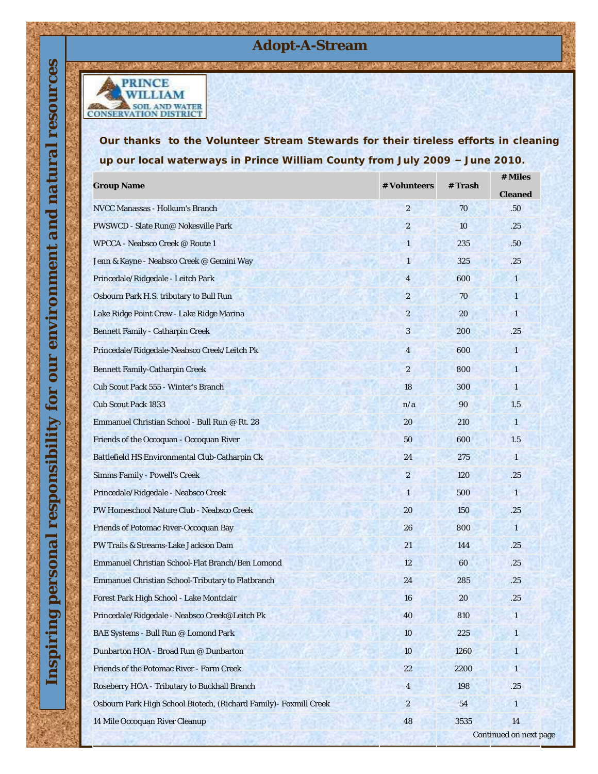### **Adopt-A-Stream**



*Our thanks to the Volunteer Stream Stewards for their tireless efforts in cleaning up our local waterways in Prince William County from July 2009 – June 2010.*

| Group Name                                                         | # Volunteers             | # Trash | # Miles                |
|--------------------------------------------------------------------|--------------------------|---------|------------------------|
| NVCC Manassas - Holkum's Branch                                    | $\overline{2}$           | 70      | Cleaned<br>.50         |
| PWSWCD - Slate Run@ Nokesville Park                                | $\overline{2}$           | 10      | .25                    |
| WPCCA - Neabsco Creek @ Route 1                                    | $\overline{\phantom{a}}$ | 235     | .50                    |
| Jenn & Kayne - Neabsco Creek @ Gemini Way                          | $\mathbf{1}$             | 325     | .25                    |
| Princedale/Ridgedale - Leitch Park                                 | $\overline{4}$           | 600     | $\mathbf{1}$           |
| Osbourn Park H.S. tributary to Bull Run                            | $\overline{2}$           | 70      |                        |
| Lake Ridge Point Crew - Lake Ridge Marina                          | $\overline{2}$           | 20      | 1                      |
| Bennett Family - Catharpin Creek                                   | 3                        | 200     | .25                    |
| Princedale/Ridgedale-Neabsco Creek/Leitch Pk                       | $\overline{4}$           | 600     | 1                      |
| Bennett Family-Catharpin Creek                                     | $\overline{2}$           | 800     | $\mathbf{1}$           |
| Cub Scout Pack 555 - Winter's Branch                               | 18                       | 300     | $\mathbf{1}$           |
| Cub Scout Pack 1833                                                | n/a                      | 90      | 1.5                    |
| Emmanuel Christian School - Bull Run @ Rt. 28                      | 20                       | 210     | $\mathbf{1}$           |
| Friends of the Occoquan - Occoquan River                           | 50                       | 600     | 1.5                    |
| Battlefield HS Environmental Club-Catharpin Ck                     | 24                       | 275     | 1                      |
| Simms Family - Powell's Creek                                      | $\overline{2}$           | 120     | .25                    |
| Princedale/Ridgedale - Neabsco Creek                               | $\mathbf{1}$             | 500     | $\overline{1}$         |
| PW Homeschool Nature Club - Neabsco Creek                          | 20                       | 150     | .25                    |
| Friends of Potomac River-Occoquan Bay                              | 26                       | 800     | $\mathbf{1}$           |
| PW Trails & Streams-Lake Jackson Dam                               | 21                       | 144     | .25                    |
| Emmanuel Christian School-Flat Branch/Ben Lomond                   | 12                       | 60      | .25                    |
| Emmanuel Christian School-Tributary to Flatbranch                  | 24                       | 285     | .25                    |
| Forest Park High School - Lake Montclair                           | 16                       | 20      | .25                    |
| Princedale/Ridgedale - Neabsco Creek@Leitch Pk                     | 40                       | 810     |                        |
| BAE Systems - Bull Run @ Lomond Park                               | 10                       | 225     | $\mathbf{1}$           |
| Dunbarton HOA - Broad Run @ Dunbarton                              | 10                       | 1260    | 1                      |
| Friends of the Potomac River - Farm Creek                          | 22                       | 2200    | 1                      |
| Roseberry HOA - Tributary to Buckhall Branch                       | $\overline{4}$           | 198     | .25                    |
| Osbourn Park High School Biotech, (Richard Family) - Foxmill Creek | $\overline{2}$           | 54      | $\mathbf{1}$           |
| 14 Mile Occoquan River Cleanup                                     | 48                       | 3535    | 14                     |
|                                                                    |                          |         | Continued on next page |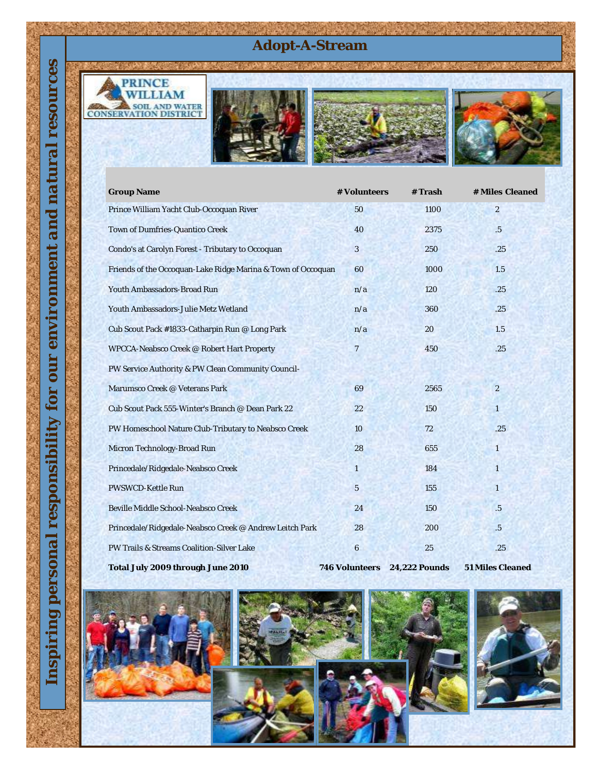# **Adopt-A-Stream**







| <b>Group Name</b>                                            | # Volunteers   | #Trash        | # Miles Cleaned  |
|--------------------------------------------------------------|----------------|---------------|------------------|
| Prince William Yacht Club-Occoquan River                     | 50             | 1100          | $\overline{2}$   |
| Town of Dumfries-Quantico Creek                              | 40             | 2375          | .5               |
| Condo's at Carolyn Forest - Tributary to Occoquan            | 3              | 250           | .25              |
| Friends of the Occoquan-Lake Ridge Marina & Town of Occoquan | 60             | 1000          | 1.5              |
| Youth Ambassadors-Broad Run                                  | n/a            | 120           | .25              |
| Youth Ambassadors-Julie Metz Wetland                         | n/a            | 360           | .25              |
| Cub Scout Pack #1833-Catharpin Run @ Long Park               | n/a            | 20            | 1.5              |
| WPCCA-Neabsco Creek @ Robert Hart Property                   | $\overline{7}$ | 450           | .25              |
| PW Service Authority & PW Clean Community Council-           |                |               |                  |
| Marumsco Creek @ Veterans Park                               | 69             | 2565          | $\overline{2}$   |
| Cub Scout Pack 555-Winter's Branch @ Dean Park 22            | 22             | 150           | $\mathbf{1}$     |
| PW Homeschool Nature Club-Tributary to Neabsco Creek         | 10             | 72            | .25              |
| Micron Technology-Broad Run                                  | 28             | 655           | $\mathbf{1}$     |
| Princedale/Ridgedale-Neabsco Creek                           | 1              | 184           | $\mathbf{1}$     |
| PWSWCD-Kettle Run                                            | 5              | 155           | $\overline{1}$   |
| Beville Middle School-Neabsco Creek                          | 24             | 150           | .5               |
| Princedale/Ridgedale-Neabsco Creek @ Andrew Leitch Park      | 28             | 200           | .5               |
| PW Trails & Streams Coalition-Silver Lake                    | 6              | 25            | .25              |
| Total July 2009 through June 2010                            | 746 Volunteers | 24,222 Pounds | 51 Miles Cleaned |



resources

**EXERCISE AND WATER**<br> **CONSERVATION DISTRICT** 







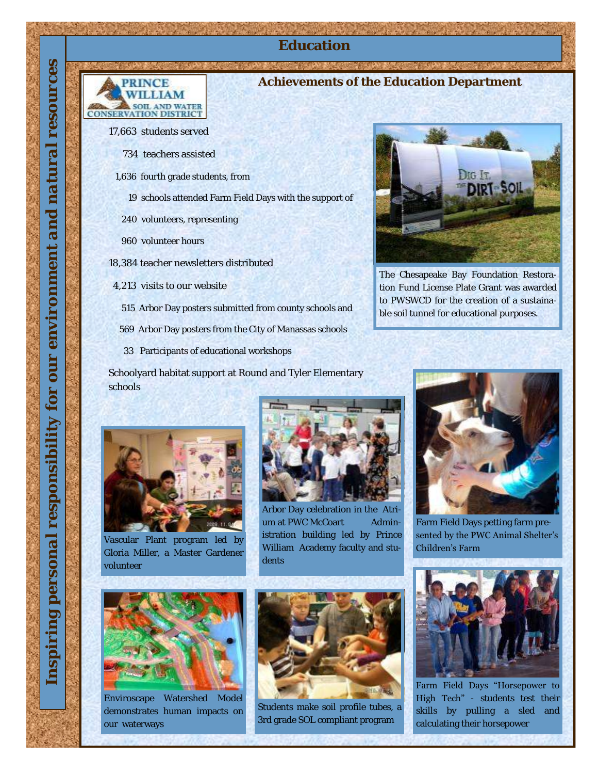**RINCE** WILLIAM **SOIL AND WATER**<br>CONSERVATION DISTRICT

#### **Achievements of the Education Department**

**Education**

17,663 students served

- 734 teachers assisted
- 1,636 fourth grade students, from
	- 19 schools attended Farm Field Days with the support of
	- 240 volunteers, representing
	- 960 volunteer hours
- 18,384 teacher newsletters distributed
- 4,213 visits to our website
	- 515 Arbor Day posters submitted from county schools and
	- 569 Arbor Day posters from the City of Manassas schools
	- 33 Participants of educational workshops

Schoolyard habitat support at Round and Tyler Elementary schools



Vascular Plant program led by Gloria Miller, a Master Gardener volunteer



Enviroscape Watershed Model demonstrates human impacts on our waterways



Arbor Day celebration in the Atrium at PWC McCoart Administration building led by Prince William Academy faculty and students



Students make soil profile tubes, a 3rd grade SOL compliant program



The Chesapeake Bay Foundation Restoration Fund License Plate Grant was awarded to PWSWCD for the creation of a sustainable soil tunnel for educational purposes.



Farm Field Days petting farm presented by the PWC Animal Shelter's Children's Farm



Farm Field Days "Horsepower to High Tech" - students test their skills by pulling a sled and calculating their horsepower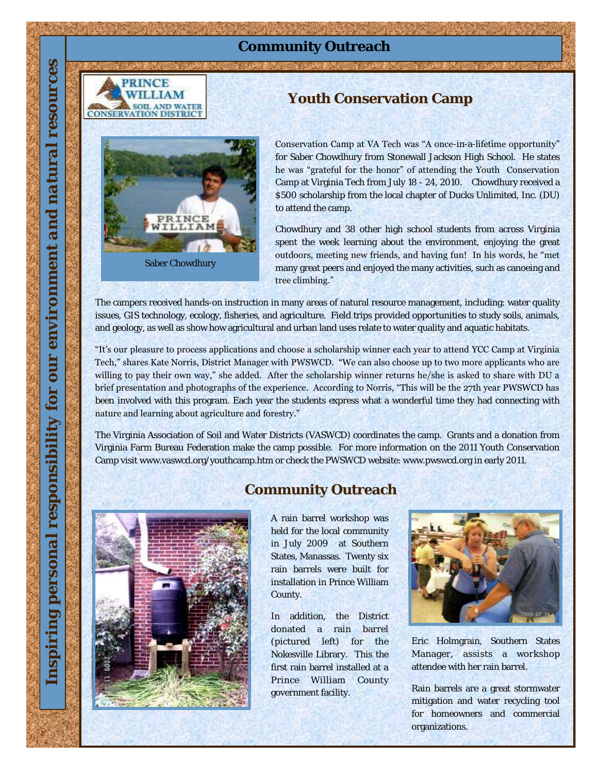# **Community Outreach**



Saber Chowdhury

PRINCE TAM.

# Conservation Camp at VA Tech was "A once-in-a-lifetime opportunity"

for Saber Chowdhury from Stonewall Jackson High School. He states he was "grateful for the honor" of attending the Youth Conservation Camp at Virginia Tech from July 18 - 24, 2010. Chowdhury received a \$500 scholarship from the local chapter of Ducks Unlimited, Inc. (DU) to attend the camp.

**Youth Conservation Camp**

Chowdhury and 38 other high school students from across Virginia spent the week learning about the environment, enjoying the great outdoors, meeting new friends, and having fun! In his words, he "met many great peers and enjoyed the many activities, such as canoeing and tree climbing."

The campers received hands-on instruction in many areas of natural resource management, including: water quality issues, GIS technology, ecology, fisheries, and agriculture. Field trips provided opportunities to study soils, animals, and geology, as well as show how agricultural and urban land uses relate to water quality and aquatic habitats.

"It's our pleasure to process applications and choose a scholarship winner each year to attend YCC Camp at Virginia Tech," shares Kate Norris, District Manager with PWSWCD. "We can also choose up to two more applicants who are willing to pay their own way," she added. After the scholarship winner returns he/she is asked to share with DU a brief presentation and photographs of the experience. According to Norris, "This will be the 27th year PWSWCD has been involved with this program. Each year the students express what a wonderful time they had connecting with nature and learning about agriculture and forestry."

The Virginia Association of Soil and Water Districts (VASWCD) coordinates the camp. Grants and a donation from Virginia Farm Bureau Federation make the camp possible. For more information on the 2011 Youth Conservation Camp visit www.vaswcd.org/youthcamp.htm or check the PWSWCD website: www.pwswcd.org in early 2011.



### **Community Outreach**

A rain barrel workshop was held for the local community in July 2009 at Southern States, Manassas. Twenty six rain barrels were built for installation in Prince William County.

In addition, the District donated a rain barrel (pictured left) for the Nokesville Library. This the first rain barrel installed at a Prince William County government facility.



Eric Holmgrain, Southern States Manager, assists a workshop attendee with her rain barrel.

Rain barrels are a great stormwater mitigation and water recycling tool for homeowners and commercial organizations.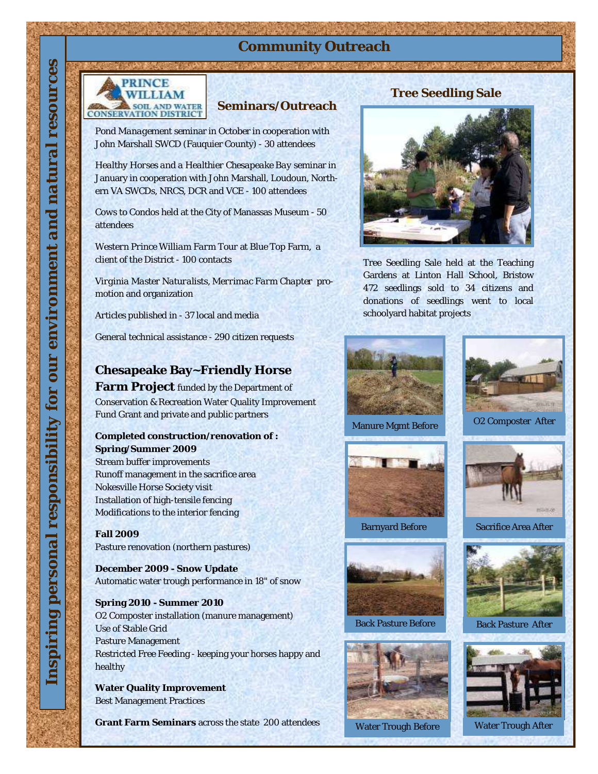# **Community Outreach**



#### **Seminars/Outreach**

*Pond Management* seminar in October in cooperation with John Marshall SWCD (Fauquier County) - 30 attendees

*Healthy Horses and a Healthier Chesapeake Bay* seminar in January in cooperation with John Marshall, Loudoun, Northern VA SWCDs, NRCS, DCR and VCE - 100 attendees

*Cows to Condos* held at the City of Manassas Museum - 50 attendees

*Western Prince William Farm Tour* at Blue Top Farm, a client of the District - 100 contacts

*Virginia Master Naturalist*s, *Merrimac Farm Chapter* promotion and organization

*Articles published* in - 37 local and media

General technical assistance - 290 citizen requests

#### **Chesapeake Bay~Friendly Horse**

**Farm Project** funded by the Department of Conservation & Recreation Water Quality Improvement Fund Grant and private and public partners

**Completed construction/renovation of : Spring/Summer 2009**  Stream buffer improvements Runoff management in the sacrifice area Nokesville Horse Society visit Installation of high-tensile fencing Modifications to the interior fencing

**Fall 2009**  Pasture renovation (northern pastures)

**December 2009 - Snow Update**  Automatic water trough performance in 18" of snow

**Spring 2010 - Summer 2010**  O2 Composter installation (manure management) Use of Stable Grid Pasture Management Restricted Free Feeding - keeping your horses happy and healthy

**Water Quality Improvement**  Best Management Practices

**Grant Farm Seminars** across the state 200 attendees

#### **Tree Seedling Sale**



Tree Seedling Sale held at the Teaching Gardens at Linton Hall School, Bristow 472 seedlings sold to 34 citizens and donations of seedlings went to local schoolyard habitat projects

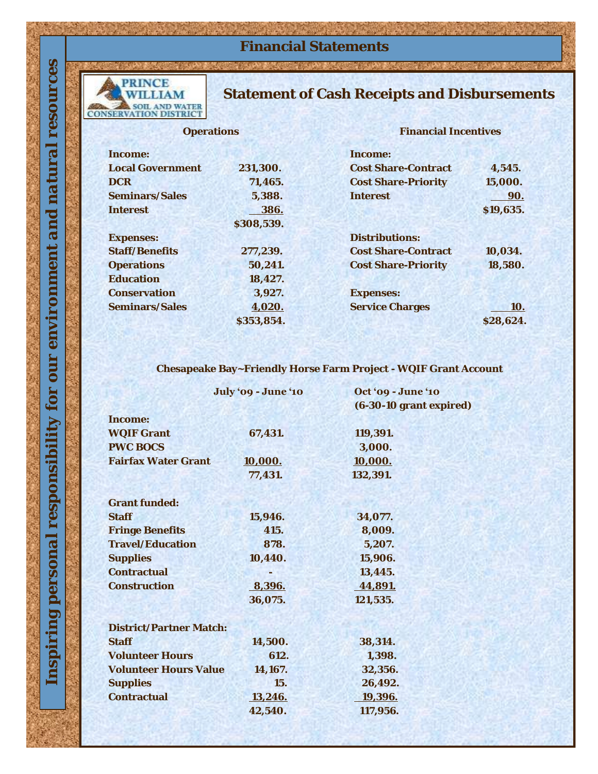# **Financial Statements**

# PRINCE<br>WILLIAM **EN SOIL AND WATER**

*Inspiring personal responsibility for our environment and natural resources*

responsibility

personal

policing

for our environment and natural

resources

## **Statement of Cash Receipts and Disbursements**

**Operations**

**Financial Incentives**

|            | Income:                               |
|------------|---------------------------------------|
| 231,300.   | <b>Cost Share-Contract</b><br>4,545.  |
| 71,465.    | Cost Share-Priority<br>15,000.        |
| 5,388.     | Interest<br>90.                       |
| 386.       | \$19,635.                             |
| \$308,539. |                                       |
|            | Distributions:                        |
| 277,239.   | Cost Share-Contract<br>10,034.        |
| 50,241.    | <b>Cost Share-Priority</b><br>18,580. |
| 18,427.    |                                       |
| 3,927.     | Expenses:                             |
| 4,020.     | Service Charges<br>10.                |
|            | \$28,624.                             |
|            | \$353,854.                            |

**Chesapeake Bay~Friendly Horse Farm Project - WQIF Grant Account**

|                              | July '09 - June '10 | Oct '09 - June '10<br>(6-30-10 grant expired) |
|------------------------------|---------------------|-----------------------------------------------|
| Income:                      |                     |                                               |
| <b>WOIF Grant</b>            | 67,431.             | 119,391.                                      |
| <b>PWC BOCS</b>              |                     | 3,000.                                        |
| <b>Fairfax Water Grant</b>   | 10,000.             | 10,000.                                       |
|                              | 77,431.             | 132,391.                                      |
|                              |                     |                                               |
| Grant funded:                |                     |                                               |
| <b>Staff</b>                 | 15,946.             | 34,077.                                       |
| <b>Fringe Benefits</b>       | 415.                | 8,009.                                        |
| Travel/Education             | 878.                | 5,207.                                        |
| Supplies                     | 10,440.             | 15,906.                                       |
| Contractual                  |                     | 13,445.                                       |
| Construction                 | 8,396.              | 44,891.                                       |
|                              | 36,075.             | 121,535.                                      |
|                              |                     |                                               |
| District/Partner Match:      |                     |                                               |
| <b>Staff</b>                 | 14,500.             | 38,314.                                       |
| <b>Volunteer Hours</b>       | 612.                | 1,398.                                        |
| <b>Volunteer Hours Value</b> | 14,167.             | 32,356.                                       |
| Supplies                     | 15.                 | 26,492.                                       |
| Contractual                  | 13,246.             | 19,396.                                       |
|                              | 42,540.             | 117,956.                                      |